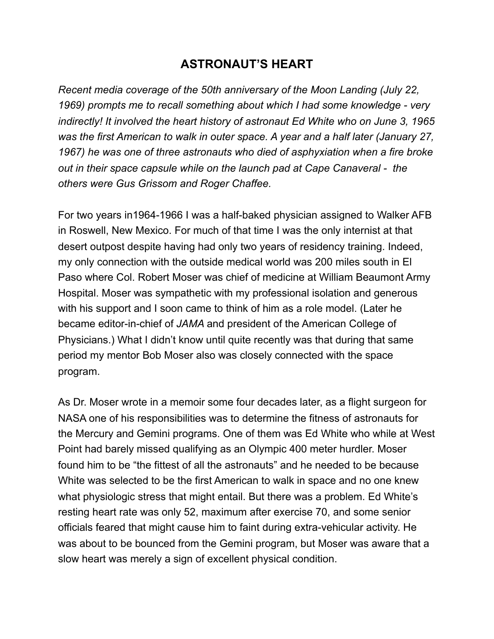## **ASTRONAUT'S HEART**

*Recent media coverage of the 50th anniversary of the Moon Landing (July 22, 1969) prompts me to recall something about which I had some knowledge - very indirectly! It involved the heart history of astronaut Ed White who on June 3, 1965 was the first American to walk in outer space. A year and a half later (January 27, 1967) he was one of three astronauts who died of asphyxiation when a fire broke out in their space capsule while on the launch pad at Cape Canaveral - the others were Gus Grissom and Roger Chaffee.* 

For two years in1964-1966 I was a half-baked physician assigned to Walker AFB in Roswell, New Mexico. For much of that time I was the only internist at that desert outpost despite having had only two years of residency training. Indeed, my only connection with the outside medical world was 200 miles south in El Paso where Col. Robert Moser was chief of medicine at William Beaumont Army Hospital. Moser was sympathetic with my professional isolation and generous with his support and I soon came to think of him as a role model. (Later he became editor-in-chief of *JAMA* and president of the American College of Physicians.) What I didn't know until quite recently was that during that same period my mentor Bob Moser also was closely connected with the space program.

As Dr. Moser wrote in a memoir some four decades later, as a flight surgeon for NASA one of his responsibilities was to determine the fitness of astronauts for the Mercury and Gemini programs. One of them was Ed White who while at West Point had barely missed qualifying as an Olympic 400 meter hurdler. Moser found him to be "the fittest of all the astronauts" and he needed to be because White was selected to be the first American to walk in space and no one knew what physiologic stress that might entail. But there was a problem. Ed White's resting heart rate was only 52, maximum after exercise 70, and some senior officials feared that might cause him to faint during extra-vehicular activity. He was about to be bounced from the Gemini program, but Moser was aware that a slow heart was merely a sign of excellent physical condition.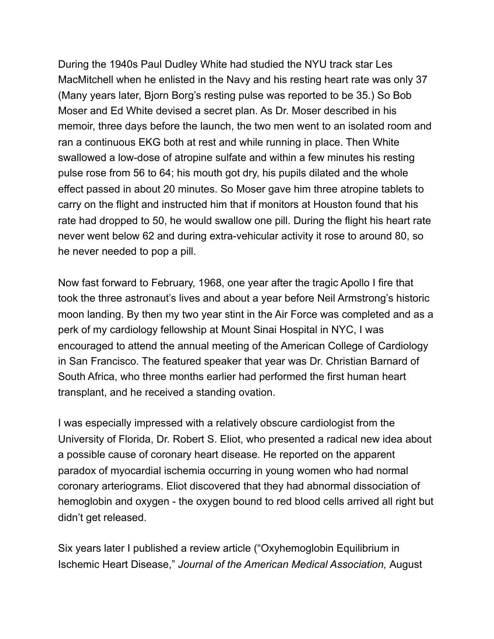During the 1940s Paul Dudley White had studied the NYU track star Les MacMitchell when he enlisted in the Navy and his resting heart rate was only 37 (Many years later, Bjorn Borg's resting pulse was reported to be 35.) So Bob Moser and Ed White devised a secret plan. As Dr. Moser described in his memoir, three days before the launch, the two men went to an isolated room and ran a continuous EKG both at rest and while running in place. Then White swallowed a low-dose of atropine sulfate and within a few minutes his resting pulse rose from 56 to 64; his mouth got dry, his pupils dilated and the whole effect passed in about 20 minutes. So Moser gave him three atropine tablets to carry on the flight and instructed him that if monitors at Houston found that his rate had dropped to 50, he would swallow one pill. During the flight his heart rate never went below 62 and during extra-vehicular activity it rose to around 80, so he never needed to pop a pill.

Now fast forward to February, 1968, one year after the tragic Apollo I fire that took the three astronaut's lives and about a year before Neil Armstrong's historic moon landing. By then my two year stint in the Air Force was completed and as a perk of my cardiology fellowship at Mount Sinai Hospital in NYC, I was encouraged to attend the annual meeting of the American College of Cardiology in San Francisco. The featured speaker that year was Dr. Christian Barnard of South Africa, who three months earlier had performed the first human heart transplant, and he received a standing ovation.

I was especially impressed with a relatively obscure cardiologist from the University of Florida, Dr. Robert S. Eliot, who presented a radical new idea about a possible cause of coronary heart disease. He reported on the apparent paradox of myocardial ischemia occurring in young women who had normal coronary arteriograms. Eliot discovered that they had abnormal dissociation of hemoglobin and oxygen - the oxygen bound to red blood cells arrived all right but didn't get released.

Six years later I published a review article ("Oxyhemoglobin Equilibrium in Ischemic Heart Disease," *Journal of the American Medical Association,* August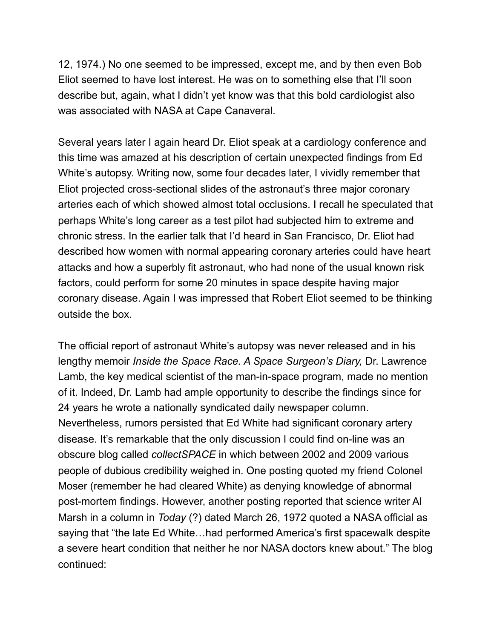12, 1974.) No one seemed to be impressed, except me, and by then even Bob Eliot seemed to have lost interest. He was on to something else that I'll soon describe but, again, what I didn't yet know was that this bold cardiologist also was associated with NASA at Cape Canaveral.

Several years later I again heard Dr. Eliot speak at a cardiology conference and this time was amazed at his description of certain unexpected findings from Ed White's autopsy. Writing now, some four decades later, I vividly remember that Eliot projected cross-sectional slides of the astronaut's three major coronary arteries each of which showed almost total occlusions. I recall he speculated that perhaps White's long career as a test pilot had subjected him to extreme and chronic stress. In the earlier talk that I'd heard in San Francisco, Dr. Eliot had described how women with normal appearing coronary arteries could have heart attacks and how a superbly fit astronaut, who had none of the usual known risk factors, could perform for some 20 minutes in space despite having major coronary disease. Again I was impressed that Robert Eliot seemed to be thinking outside the box.

The official report of astronaut White's autopsy was never released and in his lengthy memoir *Inside the Space Race. A Space Surgeon's Diary,* Dr. Lawrence Lamb, the key medical scientist of the man-in-space program, made no mention of it. Indeed, Dr. Lamb had ample opportunity to describe the findings since for 24 years he wrote a nationally syndicated daily newspaper column. Nevertheless, rumors persisted that Ed White had significant coronary artery disease. It's remarkable that the only discussion I could find on-line was an obscure blog called *collectSPACE* in which between 2002 and 2009 various people of dubious credibility weighed in. One posting quoted my friend Colonel Moser (remember he had cleared White) as denying knowledge of abnormal post-mortem findings. However, another posting reported that science writer Al Marsh in a column in *Today* (?) dated March 26, 1972 quoted a NASA official as saying that "the late Ed White…had performed America's first spacewalk despite a severe heart condition that neither he nor NASA doctors knew about." The blog continued: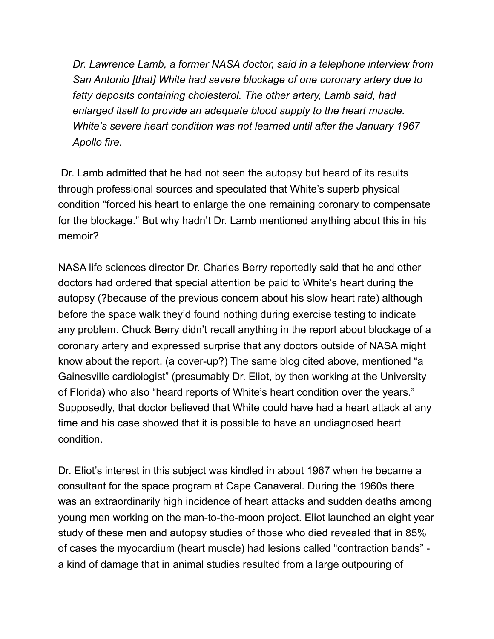*Dr. Lawrence Lamb, a former NASA doctor, said in a telephone interview from San Antonio [that] White had severe blockage of one coronary artery due to fatty deposits containing cholesterol. The other artery, Lamb said, had enlarged itself to provide an adequate blood supply to the heart muscle. White's severe heart condition was not learned until after the January 1967 Apollo fire.* 

 Dr. Lamb admitted that he had not seen the autopsy but heard of its results through professional sources and speculated that White's superb physical condition "forced his heart to enlarge the one remaining coronary to compensate for the blockage." But why hadn't Dr. Lamb mentioned anything about this in his memoir?

NASA life sciences director Dr. Charles Berry reportedly said that he and other doctors had ordered that special attention be paid to White's heart during the autopsy (?because of the previous concern about his slow heart rate) although before the space walk they'd found nothing during exercise testing to indicate any problem. Chuck Berry didn't recall anything in the report about blockage of a coronary artery and expressed surprise that any doctors outside of NASA might know about the report. (a cover-up?) The same blog cited above, mentioned "a Gainesville cardiologist" (presumably Dr. Eliot, by then working at the University of Florida) who also "heard reports of White's heart condition over the years." Supposedly, that doctor believed that White could have had a heart attack at any time and his case showed that it is possible to have an undiagnosed heart condition.

Dr. Eliot's interest in this subject was kindled in about 1967 when he became a consultant for the space program at Cape Canaveral. During the 1960s there was an extraordinarily high incidence of heart attacks and sudden deaths among young men working on the man-to-the-moon project. Eliot launched an eight year study of these men and autopsy studies of those who died revealed that in 85% of cases the myocardium (heart muscle) had lesions called "contraction bands" a kind of damage that in animal studies resulted from a large outpouring of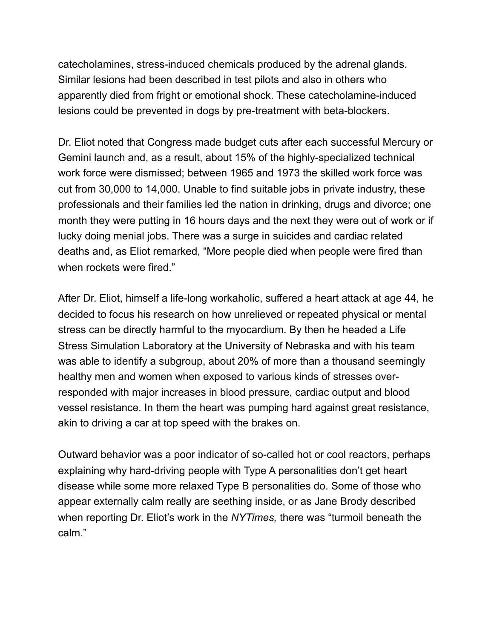catecholamines, stress-induced chemicals produced by the adrenal glands. Similar lesions had been described in test pilots and also in others who apparently died from fright or emotional shock. These catecholamine-induced lesions could be prevented in dogs by pre-treatment with beta-blockers.

Dr. Eliot noted that Congress made budget cuts after each successful Mercury or Gemini launch and, as a result, about 15% of the highly-specialized technical work force were dismissed; between 1965 and 1973 the skilled work force was cut from 30,000 to 14,000. Unable to find suitable jobs in private industry, these professionals and their families led the nation in drinking, drugs and divorce; one month they were putting in 16 hours days and the next they were out of work or if lucky doing menial jobs. There was a surge in suicides and cardiac related deaths and, as Eliot remarked, "More people died when people were fired than when rockets were fired."

After Dr. Eliot, himself a life-long workaholic, suffered a heart attack at age 44, he decided to focus his research on how unrelieved or repeated physical or mental stress can be directly harmful to the myocardium. By then he headed a Life Stress Simulation Laboratory at the University of Nebraska and with his team was able to identify a subgroup, about 20% of more than a thousand seemingly healthy men and women when exposed to various kinds of stresses overresponded with major increases in blood pressure, cardiac output and blood vessel resistance. In them the heart was pumping hard against great resistance, akin to driving a car at top speed with the brakes on.

Outward behavior was a poor indicator of so-called hot or cool reactors, perhaps explaining why hard-driving people with Type A personalities don't get heart disease while some more relaxed Type B personalities do. Some of those who appear externally calm really are seething inside, or as Jane Brody described when reporting Dr. Eliot's work in the *NYTimes,* there was "turmoil beneath the calm."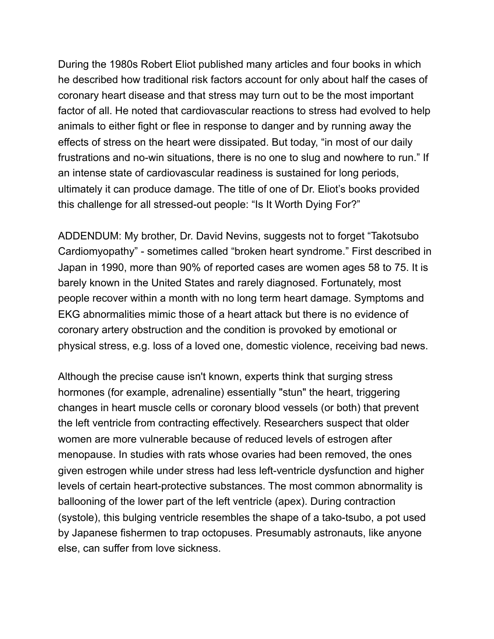During the 1980s Robert Eliot published many articles and four books in which he described how traditional risk factors account for only about half the cases of coronary heart disease and that stress may turn out to be the most important factor of all. He noted that cardiovascular reactions to stress had evolved to help animals to either fight or flee in response to danger and by running away the effects of stress on the heart were dissipated. But today, "in most of our daily frustrations and no-win situations, there is no one to slug and nowhere to run." If an intense state of cardiovascular readiness is sustained for long periods, ultimately it can produce damage. The title of one of Dr. Eliot's books provided this challenge for all stressed-out people: "Is It Worth Dying For?"

ADDENDUM: My brother, Dr. David Nevins, suggests not to forget "Takotsubo Cardiomyopathy" - sometimes called "broken heart syndrome." First described in Japan in 1990, more than 90% of reported cases are women ages 58 to 75. It is barely known in the United States and rarely diagnosed. Fortunately, most people recover within a month with no long term heart damage. Symptoms and EKG abnormalities mimic those of a heart attack but there is no evidence of coronary artery obstruction and the condition is provoked by emotional or physical stress, e.g. loss of a loved one, domestic violence, receiving bad news.

Although the precise cause isn't known, experts think that surging stress hormones (for example, adrenaline) essentially "stun" the heart, triggering changes in heart muscle cells or coronary blood vessels (or both) that prevent the left ventricle from contracting effectively. Researchers suspect that older women are more vulnerable because of reduced levels of estrogen after menopause. In studies with rats whose ovaries had been removed, the ones given estrogen while under stress had less left-ventricle dysfunction and higher levels of certain heart-protective substances. The most common abnormality is ballooning of the lower part of the left ventricle (apex). During contraction (systole), this bulging ventricle resembles the shape of a tako-tsubo, a pot used by Japanese fishermen to trap octopuses. Presumably astronauts, like anyone else, can suffer from love sickness.